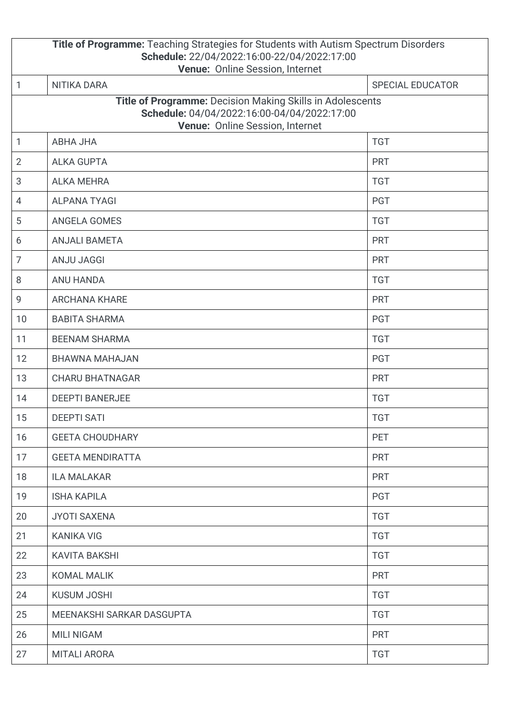| Title of Programme: Teaching Strategies for Students with Autism Spectrum Disorders<br>Schedule: 22/04/2022:16:00-22/04/2022:17:00<br>Venue: Online Session, Internet |                                                                                                                                             |                         |
|-----------------------------------------------------------------------------------------------------------------------------------------------------------------------|---------------------------------------------------------------------------------------------------------------------------------------------|-------------------------|
| $\mathbf{1}$                                                                                                                                                          | <b>NITIKA DARA</b>                                                                                                                          | <b>SPECIAL EDUCATOR</b> |
|                                                                                                                                                                       | Title of Programme: Decision Making Skills in Adolescents<br>Schedule: 04/04/2022:16:00-04/04/2022:17:00<br>Venue: Online Session, Internet |                         |
| $\mathbf{1}$                                                                                                                                                          | <b>ABHA JHA</b>                                                                                                                             | <b>TGT</b>              |
| $\overline{2}$                                                                                                                                                        | <b>ALKA GUPTA</b>                                                                                                                           | <b>PRT</b>              |
| $\sqrt{3}$                                                                                                                                                            | <b>ALKA MEHRA</b>                                                                                                                           | <b>TGT</b>              |
| 4                                                                                                                                                                     | <b>ALPANA TYAGI</b>                                                                                                                         | <b>PGT</b>              |
| 5                                                                                                                                                                     | ANGELA GOMES                                                                                                                                | <b>TGT</b>              |
| 6                                                                                                                                                                     | <b>ANJALI BAMETA</b>                                                                                                                        | <b>PRT</b>              |
| $\overline{7}$                                                                                                                                                        | <b>ANJU JAGGI</b>                                                                                                                           | <b>PRT</b>              |
| $8\,$                                                                                                                                                                 | <b>ANU HANDA</b>                                                                                                                            | <b>TGT</b>              |
| 9                                                                                                                                                                     | <b>ARCHANA KHARE</b>                                                                                                                        | <b>PRT</b>              |
| 10                                                                                                                                                                    | <b>BABITA SHARMA</b>                                                                                                                        | <b>PGT</b>              |
| 11                                                                                                                                                                    | <b>BEENAM SHARMA</b>                                                                                                                        | <b>TGT</b>              |
| 12                                                                                                                                                                    | BHAWNA MAHAJAN                                                                                                                              | <b>PGT</b>              |
| 13                                                                                                                                                                    | <b>CHARU BHATNAGAR</b>                                                                                                                      | <b>PRT</b>              |
| 14                                                                                                                                                                    | <b>DEEPTI BANERJEE</b>                                                                                                                      | <b>TGT</b>              |
| 15                                                                                                                                                                    | <b>DEEPTI SATI</b>                                                                                                                          | <b>TGT</b>              |
| 16                                                                                                                                                                    | <b>GEETA CHOUDHARY</b>                                                                                                                      | PET                     |
| 17                                                                                                                                                                    | <b>GEETA MENDIRATTA</b>                                                                                                                     | <b>PRT</b>              |
| 18                                                                                                                                                                    | <b>ILA MALAKAR</b>                                                                                                                          | <b>PRT</b>              |
| 19                                                                                                                                                                    | <b>ISHA KAPILA</b>                                                                                                                          | <b>PGT</b>              |
| 20                                                                                                                                                                    | <b>JYOTI SAXENA</b>                                                                                                                         | <b>TGT</b>              |
| 21                                                                                                                                                                    | <b>KANIKA VIG</b>                                                                                                                           | <b>TGT</b>              |
| 22                                                                                                                                                                    | <b>KAVITA BAKSHI</b>                                                                                                                        | <b>TGT</b>              |
| 23                                                                                                                                                                    | <b>KOMAL MALIK</b>                                                                                                                          | <b>PRT</b>              |
| 24                                                                                                                                                                    | <b>KUSUM JOSHI</b>                                                                                                                          | <b>TGT</b>              |
| 25                                                                                                                                                                    | MEENAKSHI SARKAR DASGUPTA                                                                                                                   | <b>TGT</b>              |
| 26                                                                                                                                                                    | <b>MILI NIGAM</b>                                                                                                                           | <b>PRT</b>              |
| 27                                                                                                                                                                    | <b>MITALI ARORA</b>                                                                                                                         | <b>TGT</b>              |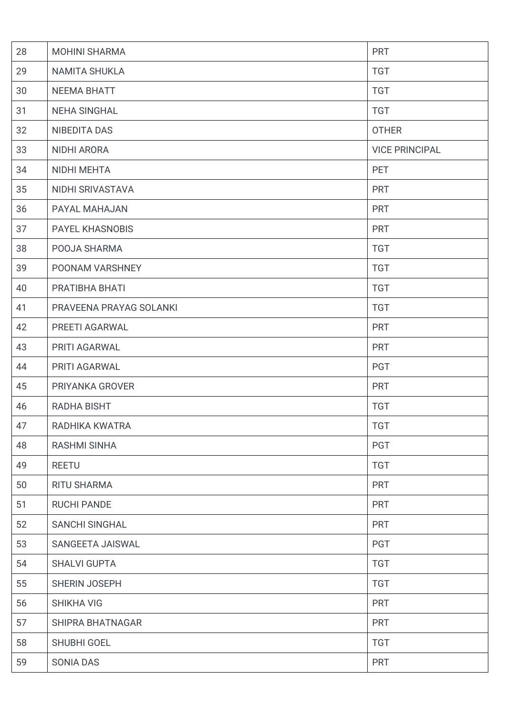| 28 | <b>MOHINI SHARMA</b>    | <b>PRT</b>            |
|----|-------------------------|-----------------------|
| 29 | <b>NAMITA SHUKLA</b>    | <b>TGT</b>            |
| 30 | <b>NEEMA BHATT</b>      | <b>TGT</b>            |
| 31 | <b>NEHA SINGHAL</b>     | <b>TGT</b>            |
| 32 | NIBEDITA DAS            | <b>OTHER</b>          |
| 33 | <b>NIDHI ARORA</b>      | <b>VICE PRINCIPAL</b> |
| 34 | NIDHI MEHTA             | <b>PET</b>            |
| 35 | NIDHI SRIVASTAVA        | <b>PRT</b>            |
| 36 | PAYAL MAHAJAN           | <b>PRT</b>            |
| 37 | <b>PAYEL KHASNOBIS</b>  | <b>PRT</b>            |
| 38 | POOJA SHARMA            | <b>TGT</b>            |
| 39 | POONAM VARSHNEY         | <b>TGT</b>            |
| 40 | PRATIBHA BHATI          | <b>TGT</b>            |
| 41 | PRAVEENA PRAYAG SOLANKI | <b>TGT</b>            |
| 42 | PREETI AGARWAL          | <b>PRT</b>            |
| 43 | PRITI AGARWAL           | <b>PRT</b>            |
| 44 | PRITI AGARWAL           | <b>PGT</b>            |
| 45 | PRIYANKA GROVER         | <b>PRT</b>            |
| 46 | <b>RADHA BISHT</b>      | <b>TGT</b>            |
| 47 | RADHIKA KWATRA          | <b>TGT</b>            |
| 48 | <b>RASHMI SINHA</b>     | <b>PGT</b>            |
| 49 | <b>REETU</b>            | <b>TGT</b>            |
| 50 | <b>RITU SHARMA</b>      | <b>PRT</b>            |
| 51 | <b>RUCHI PANDE</b>      | <b>PRT</b>            |
| 52 | <b>SANCHI SINGHAL</b>   | <b>PRT</b>            |
| 53 | SANGEETA JAISWAL        | <b>PGT</b>            |
| 54 | <b>SHALVI GUPTA</b>     | <b>TGT</b>            |
| 55 | SHERIN JOSEPH           | <b>TGT</b>            |
| 56 | <b>SHIKHA VIG</b>       | <b>PRT</b>            |
| 57 | <b>SHIPRA BHATNAGAR</b> | <b>PRT</b>            |
| 58 | SHUBHI GOEL             | <b>TGT</b>            |
| 59 | <b>SONIA DAS</b>        | <b>PRT</b>            |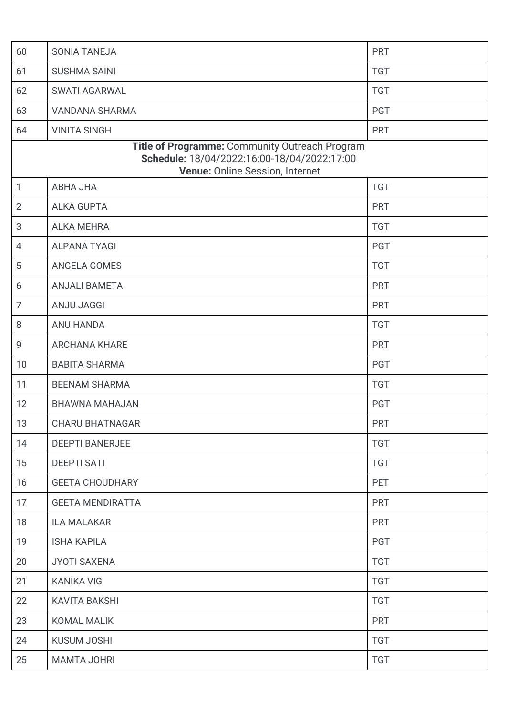| 60             | <b>SONIA TANEJA</b>                                                                                                              | <b>PRT</b> |
|----------------|----------------------------------------------------------------------------------------------------------------------------------|------------|
| 61             | <b>SUSHMA SAINI</b>                                                                                                              | <b>TGT</b> |
| 62             | <b>SWATI AGARWAL</b>                                                                                                             | <b>TGT</b> |
| 63             | VANDANA SHARMA                                                                                                                   | <b>PGT</b> |
| 64             | <b>VINITA SINGH</b>                                                                                                              | <b>PRT</b> |
|                | Title of Programme: Community Outreach Program<br>Schedule: 18/04/2022:16:00-18/04/2022:17:00<br>Venue: Online Session, Internet |            |
| $\mathbf{1}$   | <b>ABHA JHA</b>                                                                                                                  | <b>TGT</b> |
| $\overline{2}$ | <b>ALKA GUPTA</b>                                                                                                                | <b>PRT</b> |
| $\mathbf{3}$   | <b>ALKA MEHRA</b>                                                                                                                | <b>TGT</b> |
| $\overline{4}$ | <b>ALPANA TYAGI</b>                                                                                                              | <b>PGT</b> |
| $\overline{5}$ | ANGELA GOMES                                                                                                                     | <b>TGT</b> |
| 6              | <b>ANJALI BAMETA</b>                                                                                                             | <b>PRT</b> |
| $\overline{7}$ | <b>ANJU JAGGI</b>                                                                                                                | <b>PRT</b> |
| $\,8\,$        | ANU HANDA                                                                                                                        | <b>TGT</b> |
| $\overline{9}$ | <b>ARCHANA KHARE</b>                                                                                                             | <b>PRT</b> |
| 10             | <b>BABITA SHARMA</b>                                                                                                             | <b>PGT</b> |
| 11             | <b>BEENAM SHARMA</b>                                                                                                             | <b>TGT</b> |
| 12             | BHAWNA MAHAJAN                                                                                                                   | <b>PGT</b> |
| 13             | <b>CHARU BHATNAGAR</b>                                                                                                           | <b>PRT</b> |
| 14             | <b>DEEPTI BANERJEE</b>                                                                                                           | <b>TGT</b> |
| 15             | <b>DEEPTI SATI</b>                                                                                                               | <b>TGT</b> |
| 16             | <b>GEETA CHOUDHARY</b>                                                                                                           | <b>PET</b> |
| 17             | <b>GEETA MENDIRATTA</b>                                                                                                          | <b>PRT</b> |
| 18             | <b>ILA MALAKAR</b>                                                                                                               | <b>PRT</b> |
| 19             | <b>ISHA KAPILA</b>                                                                                                               | <b>PGT</b> |
| 20             | <b>JYOTI SAXENA</b>                                                                                                              | <b>TGT</b> |
| 21             | <b>KANIKA VIG</b>                                                                                                                | <b>TGT</b> |
| 22             | <b>KAVITA BAKSHI</b>                                                                                                             | <b>TGT</b> |
| 23             | <b>KOMAL MALIK</b>                                                                                                               | <b>PRT</b> |
| 24             | <b>KUSUM JOSHI</b>                                                                                                               | <b>TGT</b> |
| 25             | MAMTA JOHRI                                                                                                                      | <b>TGT</b> |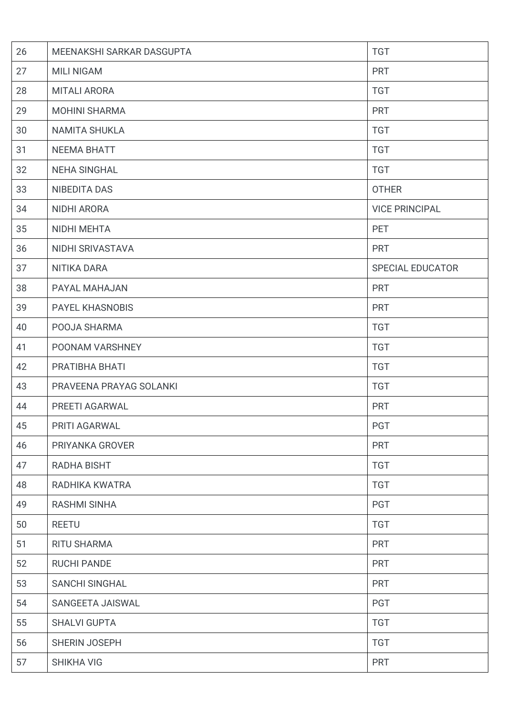| 26 | MEENAKSHI SARKAR DASGUPTA | <b>TGT</b>              |
|----|---------------------------|-------------------------|
| 27 | <b>MILI NIGAM</b>         | <b>PRT</b>              |
| 28 | <b>MITALI ARORA</b>       | <b>TGT</b>              |
| 29 | <b>MOHINI SHARMA</b>      | <b>PRT</b>              |
| 30 | <b>NAMITA SHUKLA</b>      | <b>TGT</b>              |
| 31 | <b>NEEMA BHATT</b>        | <b>TGT</b>              |
| 32 | <b>NEHA SINGHAL</b>       | <b>TGT</b>              |
| 33 | NIBEDITA DAS              | <b>OTHER</b>            |
| 34 | <b>NIDHI ARORA</b>        | <b>VICE PRINCIPAL</b>   |
| 35 | NIDHI MEHTA               | <b>PET</b>              |
| 36 | NIDHI SRIVASTAVA          | <b>PRT</b>              |
| 37 | NITIKA DARA               | <b>SPECIAL EDUCATOR</b> |
| 38 | PAYAL MAHAJAN             | <b>PRT</b>              |
| 39 | <b>PAYEL KHASNOBIS</b>    | <b>PRT</b>              |
| 40 | POOJA SHARMA              | <b>TGT</b>              |
| 41 | POONAM VARSHNEY           | <b>TGT</b>              |
| 42 | PRATIBHA BHATI            | <b>TGT</b>              |
| 43 | PRAVEENA PRAYAG SOLANKI   | <b>TGT</b>              |
| 44 | PREETI AGARWAL            | <b>PRT</b>              |
| 45 | PRITI AGARWAL             | <b>PGT</b>              |
| 46 | PRIYANKA GROVER           | <b>PRT</b>              |
| 47 | RADHA BISHT               | <b>TGT</b>              |
| 48 | RADHIKA KWATRA            | <b>TGT</b>              |
| 49 | <b>RASHMI SINHA</b>       | <b>PGT</b>              |
| 50 | <b>REETU</b>              | <b>TGT</b>              |
| 51 | <b>RITU SHARMA</b>        | <b>PRT</b>              |
| 52 | <b>RUCHI PANDE</b>        | <b>PRT</b>              |
| 53 | <b>SANCHI SINGHAL</b>     | <b>PRT</b>              |
| 54 | SANGEETA JAISWAL          | <b>PGT</b>              |
| 55 | <b>SHALVI GUPTA</b>       | <b>TGT</b>              |
| 56 | SHERIN JOSEPH             | <b>TGT</b>              |
| 57 | <b>SHIKHA VIG</b>         | <b>PRT</b>              |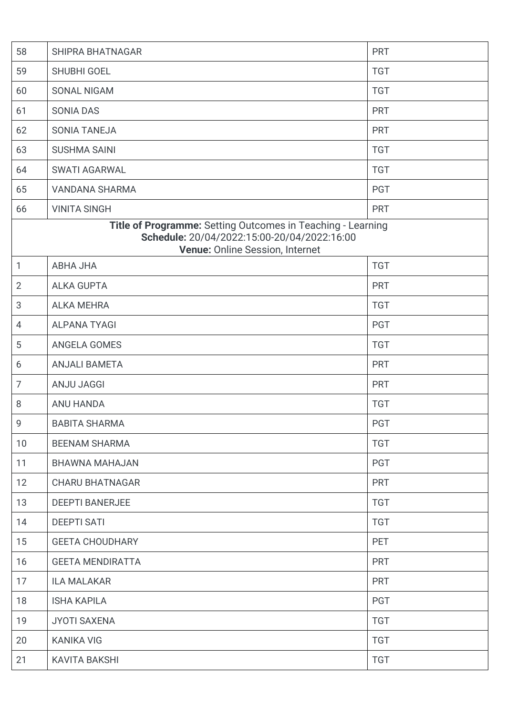| 58             | <b>SHIPRA BHATNAGAR</b>                                                                                                                       | <b>PRT</b> |
|----------------|-----------------------------------------------------------------------------------------------------------------------------------------------|------------|
| 59             | SHUBHI GOEL                                                                                                                                   | <b>TGT</b> |
| 60             | <b>SONAL NIGAM</b>                                                                                                                            | <b>TGT</b> |
| 61             | <b>SONIA DAS</b>                                                                                                                              | <b>PRT</b> |
| 62             | <b>SONIA TANEJA</b>                                                                                                                           | <b>PRT</b> |
| 63             | <b>SUSHMA SAINI</b>                                                                                                                           | <b>TGT</b> |
| 64             | <b>SWATI AGARWAL</b>                                                                                                                          | <b>TGT</b> |
| 65             | VANDANA SHARMA                                                                                                                                | <b>PGT</b> |
| 66             | <b>VINITA SINGH</b>                                                                                                                           | <b>PRT</b> |
|                | Title of Programme: Setting Outcomes in Teaching - Learning<br>Schedule: 20/04/2022:15:00-20/04/2022:16:00<br>Venue: Online Session, Internet |            |
| $\mathbf{1}$   | <b>ABHA JHA</b>                                                                                                                               | <b>TGT</b> |
| $\overline{2}$ | <b>ALKA GUPTA</b>                                                                                                                             | <b>PRT</b> |
| $\sqrt{3}$     | <b>ALKA MEHRA</b>                                                                                                                             | <b>TGT</b> |
| 4              | <b>ALPANA TYAGI</b>                                                                                                                           | <b>PGT</b> |
| 5              | ANGELA GOMES                                                                                                                                  | <b>TGT</b> |
| 6              | <b>ANJALI BAMETA</b>                                                                                                                          | <b>PRT</b> |
| $\overline{7}$ | <b>ANJU JAGGI</b>                                                                                                                             | <b>PRT</b> |
| 8              | <b>ANU HANDA</b>                                                                                                                              | <b>TGT</b> |
| 9              | <b>BABITA SHARMA</b>                                                                                                                          | PGT        |
| 10             | <b>BEENAM SHARMA</b>                                                                                                                          | <b>TGT</b> |
| 11             | BHAWNA MAHAJAN                                                                                                                                | <b>PGT</b> |
| 12             | <b>CHARU BHATNAGAR</b>                                                                                                                        | <b>PRT</b> |
| 13             | <b>DEEPTI BANERJEE</b>                                                                                                                        | <b>TGT</b> |
| 14             | <b>DEEPTI SATI</b>                                                                                                                            | <b>TGT</b> |
| 15             | <b>GEETA CHOUDHARY</b>                                                                                                                        | <b>PET</b> |
| 16             | <b>GEETA MENDIRATTA</b>                                                                                                                       | <b>PRT</b> |
| 17             | <b>ILA MALAKAR</b>                                                                                                                            | <b>PRT</b> |
| 18             | <b>ISHA KAPILA</b>                                                                                                                            | <b>PGT</b> |
| 19             | <b>JYOTI SAXENA</b>                                                                                                                           | <b>TGT</b> |
| 20             | <b>KANIKA VIG</b>                                                                                                                             | <b>TGT</b> |
| 21             | <b>KAVITA BAKSHI</b>                                                                                                                          | <b>TGT</b> |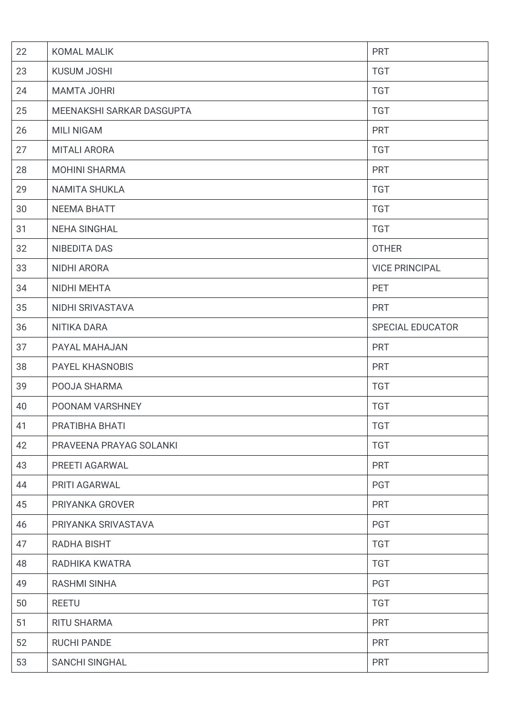| 22 | <b>KOMAL MALIK</b>        | <b>PRT</b>              |
|----|---------------------------|-------------------------|
| 23 | <b>KUSUM JOSHI</b>        | <b>TGT</b>              |
| 24 | <b>MAMTA JOHRI</b>        | <b>TGT</b>              |
| 25 | MEENAKSHI SARKAR DASGUPTA | <b>TGT</b>              |
| 26 | <b>MILI NIGAM</b>         | <b>PRT</b>              |
| 27 | <b>MITALI ARORA</b>       | <b>TGT</b>              |
| 28 | <b>MOHINI SHARMA</b>      | <b>PRT</b>              |
| 29 | <b>NAMITA SHUKLA</b>      | <b>TGT</b>              |
| 30 | <b>NEEMA BHATT</b>        | <b>TGT</b>              |
| 31 | <b>NEHA SINGHAL</b>       | <b>TGT</b>              |
| 32 | NIBEDITA DAS              | <b>OTHER</b>            |
| 33 | NIDHI ARORA               | <b>VICE PRINCIPAL</b>   |
| 34 | NIDHI MEHTA               | <b>PET</b>              |
| 35 | NIDHI SRIVASTAVA          | <b>PRT</b>              |
| 36 | NITIKA DARA               | <b>SPECIAL EDUCATOR</b> |
| 37 | PAYAL MAHAJAN             | <b>PRT</b>              |
| 38 | PAYEL KHASNOBIS           | <b>PRT</b>              |
| 39 | POOJA SHARMA              | <b>TGT</b>              |
| 40 | POONAM VARSHNEY           | <b>TGT</b>              |
| 41 | PRATIBHA BHATI            | <b>TGT</b>              |
| 42 | PRAVEENA PRAYAG SOLANKI   | <b>TGT</b>              |
| 43 | PREETI AGARWAL            | <b>PRT</b>              |
| 44 | PRITI AGARWAL             | <b>PGT</b>              |
| 45 | PRIYANKA GROVER           | <b>PRT</b>              |
| 46 | PRIYANKA SRIVASTAVA       | <b>PGT</b>              |
| 47 | <b>RADHA BISHT</b>        | <b>TGT</b>              |
| 48 | RADHIKA KWATRA            | <b>TGT</b>              |
| 49 | <b>RASHMI SINHA</b>       | <b>PGT</b>              |
| 50 | <b>REETU</b>              | <b>TGT</b>              |
| 51 | <b>RITU SHARMA</b>        | <b>PRT</b>              |
| 52 | <b>RUCHI PANDE</b>        | <b>PRT</b>              |
| 53 | <b>SANCHI SINGHAL</b>     | <b>PRT</b>              |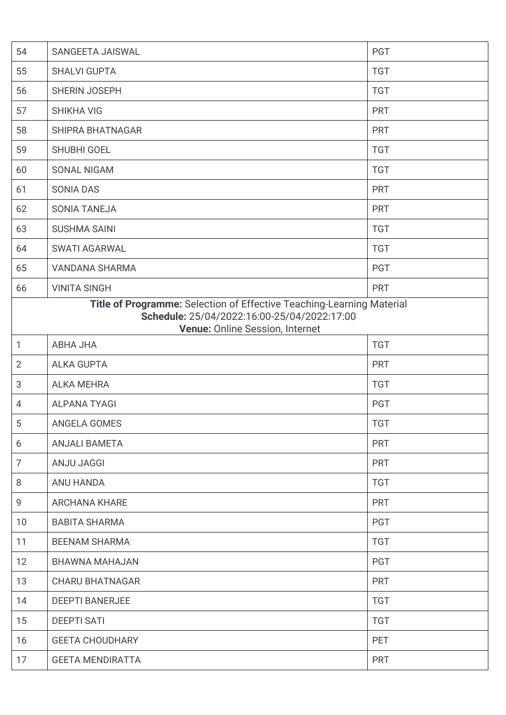| 54                                                                                                                                                      | SANGEETA JAISWAL        | <b>PGT</b> |
|---------------------------------------------------------------------------------------------------------------------------------------------------------|-------------------------|------------|
| 55                                                                                                                                                      | <b>SHALVI GUPTA</b>     | <b>TGT</b> |
| 56                                                                                                                                                      | SHERIN JOSEPH           | <b>TGT</b> |
| 57                                                                                                                                                      | <b>SHIKHA VIG</b>       | <b>PRT</b> |
| 58                                                                                                                                                      | SHIPRA BHATNAGAR        | <b>PRT</b> |
| 59                                                                                                                                                      | <b>SHUBHI GOEL</b>      | <b>TGT</b> |
| 60                                                                                                                                                      | <b>SONAL NIGAM</b>      | <b>TGT</b> |
| 61                                                                                                                                                      | <b>SONIA DAS</b>        | <b>PRT</b> |
| 62                                                                                                                                                      | <b>SONIA TANEJA</b>     | <b>PRT</b> |
| 63                                                                                                                                                      | <b>SUSHMA SAINI</b>     | <b>TGT</b> |
| 64                                                                                                                                                      | <b>SWATI AGARWAL</b>    | <b>TGT</b> |
| 65                                                                                                                                                      | <b>VANDANA SHARMA</b>   | <b>PGT</b> |
| 66                                                                                                                                                      | <b>VINITA SINGH</b>     | <b>PRT</b> |
| Title of Programme: Selection of Effective Teaching-Learning Material<br>Schedule: 25/04/2022:16:00-25/04/2022:17:00<br>Venue: Online Session, Internet |                         |            |
| $\mathbf{1}$                                                                                                                                            | <b>ABHA JHA</b>         | <b>TGT</b> |
| $\overline{2}$                                                                                                                                          | <b>ALKA GUPTA</b>       | <b>PRT</b> |
| $\sqrt{3}$                                                                                                                                              | <b>ALKA MEHRA</b>       | <b>TGT</b> |
| 4                                                                                                                                                       | <b>ALPANA TYAGI</b>     | <b>PGT</b> |
| 5                                                                                                                                                       | ANGELA GOMES            | <b>TGT</b> |
| 6                                                                                                                                                       | <b>ANJALI BAMETA</b>    | <b>PRT</b> |
| $\overline{7}$                                                                                                                                          | <b>ANJU JAGGI</b>       | <b>PRT</b> |
| 8                                                                                                                                                       | <b>ANU HANDA</b>        | <b>TGT</b> |
| 9                                                                                                                                                       | <b>ARCHANA KHARE</b>    | <b>PRT</b> |
| 10                                                                                                                                                      | <b>BABITA SHARMA</b>    | <b>PGT</b> |
| 11                                                                                                                                                      | <b>BEENAM SHARMA</b>    | <b>TGT</b> |
| 12                                                                                                                                                      | BHAWNA MAHAJAN          | <b>PGT</b> |
| 13                                                                                                                                                      | <b>CHARU BHATNAGAR</b>  | <b>PRT</b> |
| 14                                                                                                                                                      | <b>DEEPTI BANERJEE</b>  | <b>TGT</b> |
| 15                                                                                                                                                      | <b>DEEPTI SATI</b>      | <b>TGT</b> |
| 16                                                                                                                                                      | <b>GEETA CHOUDHARY</b>  | <b>PET</b> |
| 17                                                                                                                                                      | <b>GEETA MENDIRATTA</b> | <b>PRT</b> |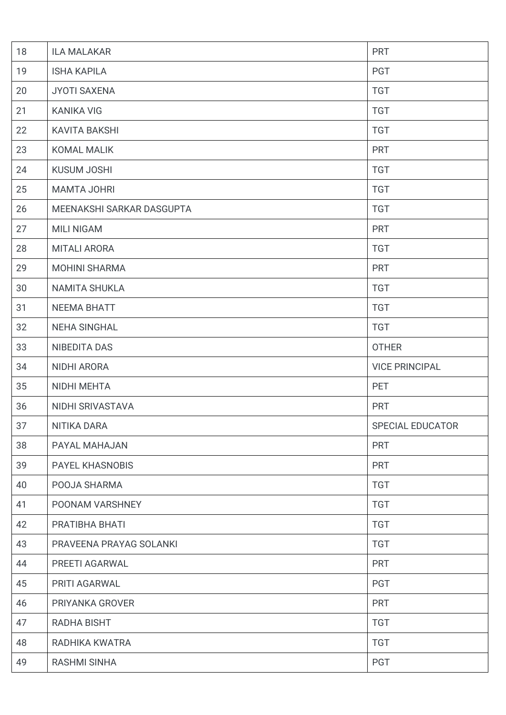| 18 | <b>ILA MALAKAR</b>        | <b>PRT</b>              |
|----|---------------------------|-------------------------|
| 19 | <b>ISHA KAPILA</b>        | <b>PGT</b>              |
| 20 | <b>JYOTI SAXENA</b>       | <b>TGT</b>              |
| 21 | <b>KANIKA VIG</b>         | <b>TGT</b>              |
| 22 | <b>KAVITA BAKSHI</b>      | <b>TGT</b>              |
| 23 | <b>KOMAL MALIK</b>        | <b>PRT</b>              |
| 24 | <b>KUSUM JOSHI</b>        | <b>TGT</b>              |
| 25 | <b>MAMTA JOHRI</b>        | <b>TGT</b>              |
| 26 | MEENAKSHI SARKAR DASGUPTA | <b>TGT</b>              |
| 27 | <b>MILI NIGAM</b>         | <b>PRT</b>              |
| 28 | <b>MITALI ARORA</b>       | <b>TGT</b>              |
| 29 | <b>MOHINI SHARMA</b>      | <b>PRT</b>              |
| 30 | <b>NAMITA SHUKLA</b>      | <b>TGT</b>              |
| 31 | <b>NEEMA BHATT</b>        | <b>TGT</b>              |
| 32 | <b>NEHA SINGHAL</b>       | <b>TGT</b>              |
| 33 | NIBEDITA DAS              | <b>OTHER</b>            |
| 34 | NIDHI ARORA               | <b>VICE PRINCIPAL</b>   |
| 35 | NIDHI MEHTA               | <b>PET</b>              |
| 36 | NIDHI SRIVASTAVA          | <b>PRT</b>              |
| 37 | NITIKA DARA               | <b>SPECIAL EDUCATOR</b> |
| 38 | PAYAL MAHAJAN             | <b>PRT</b>              |
| 39 | <b>PAYEL KHASNOBIS</b>    | <b>PRT</b>              |
| 40 | POOJA SHARMA              | <b>TGT</b>              |
| 41 | POONAM VARSHNEY           | <b>TGT</b>              |
| 42 | PRATIBHA BHATI            | <b>TGT</b>              |
| 43 | PRAVEENA PRAYAG SOLANKI   | <b>TGT</b>              |
| 44 | PREETI AGARWAL            | <b>PRT</b>              |
| 45 | PRITI AGARWAL             | <b>PGT</b>              |
| 46 | PRIYANKA GROVER           | <b>PRT</b>              |
| 47 | <b>RADHA BISHT</b>        | <b>TGT</b>              |
|    |                           |                         |
| 48 | RADHIKA KWATRA            | <b>TGT</b>              |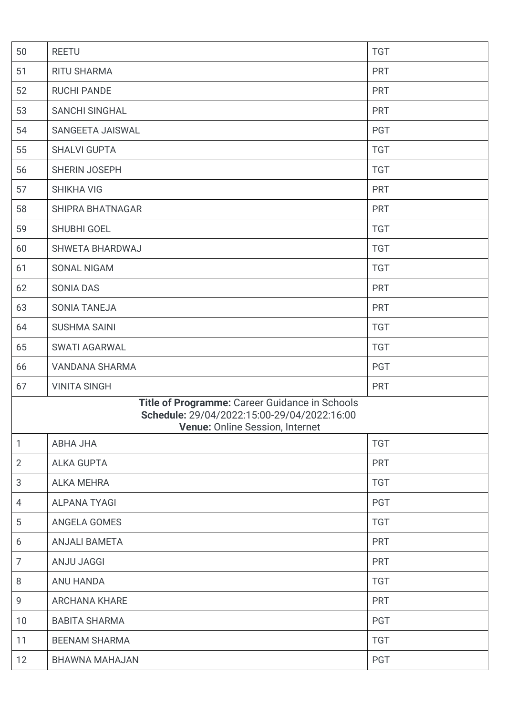| 50             | <b>REETU</b>                                                                                  | <b>TGT</b> |
|----------------|-----------------------------------------------------------------------------------------------|------------|
| 51             | <b>RITU SHARMA</b>                                                                            | <b>PRT</b> |
| 52             | <b>RUCHI PANDE</b>                                                                            | <b>PRT</b> |
| 53             | SANCHI SINGHAL                                                                                | <b>PRT</b> |
| 54             | SANGEETA JAISWAL                                                                              | PGT        |
| 55             | <b>SHALVI GUPTA</b>                                                                           | <b>TGT</b> |
| 56             | SHERIN JOSEPH                                                                                 | <b>TGT</b> |
| 57             | <b>SHIKHA VIG</b>                                                                             | <b>PRT</b> |
| 58             | SHIPRA BHATNAGAR                                                                              | <b>PRT</b> |
| 59             | <b>SHUBHI GOEL</b>                                                                            | <b>TGT</b> |
| 60             | SHWETA BHARDWAJ                                                                               | <b>TGT</b> |
| 61             | <b>SONAL NIGAM</b>                                                                            | <b>TGT</b> |
| 62             | <b>SONIA DAS</b>                                                                              | <b>PRT</b> |
| 63             | <b>SONIA TANEJA</b>                                                                           | <b>PRT</b> |
| 64             | <b>SUSHMA SAINI</b>                                                                           | <b>TGT</b> |
| 65             | <b>SWATI AGARWAL</b>                                                                          | <b>TGT</b> |
| 66             | <b>VANDANA SHARMA</b>                                                                         | <b>PGT</b> |
| 67             | <b>VINITA SINGH</b>                                                                           | <b>PRT</b> |
|                | Title of Programme: Career Guidance in Schools<br>Schedule: 29/04/2022:15:00-29/04/2022:16:00 |            |
|                | Venue: Online Session, Internet                                                               |            |
| $\mathbf{1}$   | <b>ABHA JHA</b>                                                                               | <b>TGT</b> |
| $\overline{2}$ | <b>ALKA GUPTA</b>                                                                             | <b>PRT</b> |
| 3              | <b>ALKA MEHRA</b>                                                                             | <b>TGT</b> |
| 4              | <b>ALPANA TYAGI</b>                                                                           | <b>PGT</b> |
| 5              | ANGELA GOMES                                                                                  | <b>TGT</b> |
| 6              | <b>ANJALI BAMETA</b>                                                                          | <b>PRT</b> |
| $\overline{7}$ | <b>ANJU JAGGI</b>                                                                             | <b>PRT</b> |
| 8              | ANU HANDA                                                                                     | <b>TGT</b> |
| 9              | <b>ARCHANA KHARE</b>                                                                          | <b>PRT</b> |
| 10             | <b>BABITA SHARMA</b>                                                                          | <b>PGT</b> |
| 11             | <b>BEENAM SHARMA</b>                                                                          | <b>TGT</b> |
| 12             | BHAWNA MAHAJAN                                                                                | <b>PGT</b> |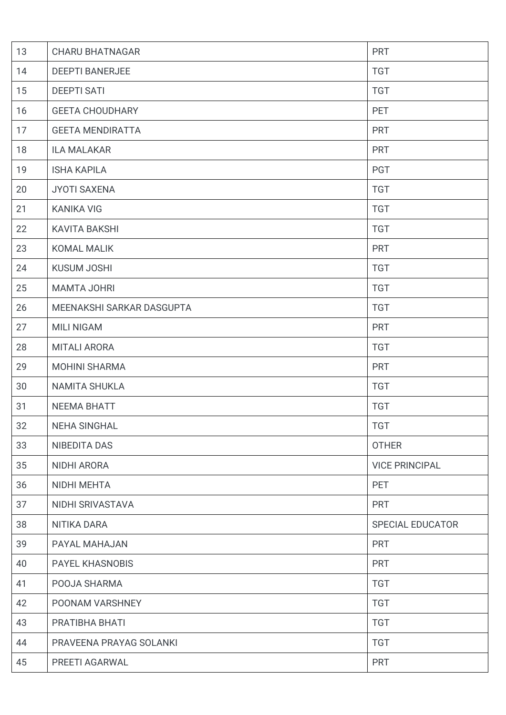| 13 | <b>CHARU BHATNAGAR</b>    | <b>PRT</b>              |
|----|---------------------------|-------------------------|
| 14 | <b>DEEPTI BANERJEE</b>    | <b>TGT</b>              |
| 15 | <b>DEEPTI SATI</b>        | <b>TGT</b>              |
| 16 | <b>GEETA CHOUDHARY</b>    | PET                     |
| 17 | <b>GEETA MENDIRATTA</b>   | <b>PRT</b>              |
| 18 | <b>ILA MALAKAR</b>        | <b>PRT</b>              |
| 19 | <b>ISHA KAPILA</b>        | <b>PGT</b>              |
| 20 | <b>JYOTI SAXENA</b>       | <b>TGT</b>              |
| 21 | <b>KANIKA VIG</b>         | <b>TGT</b>              |
| 22 | <b>KAVITA BAKSHI</b>      | <b>TGT</b>              |
| 23 | <b>KOMAL MALIK</b>        | <b>PRT</b>              |
| 24 | <b>KUSUM JOSHI</b>        | <b>TGT</b>              |
| 25 | <b>MAMTA JOHRI</b>        | <b>TGT</b>              |
| 26 | MEENAKSHI SARKAR DASGUPTA | <b>TGT</b>              |
| 27 | <b>MILI NIGAM</b>         | <b>PRT</b>              |
| 28 | <b>MITALI ARORA</b>       | <b>TGT</b>              |
| 29 | <b>MOHINI SHARMA</b>      | <b>PRT</b>              |
| 30 | <b>NAMITA SHUKLA</b>      | <b>TGT</b>              |
| 31 | <b>NEEMA BHATT</b>        | <b>TGT</b>              |
| 32 | <b>NEHA SINGHAL</b>       | <b>TGT</b>              |
| 33 | <b>NIBEDITA DAS</b>       | <b>OTHER</b>            |
| 35 | NIDHI ARORA               | <b>VICE PRINCIPAL</b>   |
| 36 | NIDHI MEHTA               | <b>PET</b>              |
| 37 | NIDHI SRIVASTAVA          | <b>PRT</b>              |
| 38 | NITIKA DARA               | <b>SPECIAL EDUCATOR</b> |
| 39 | PAYAL MAHAJAN             | <b>PRT</b>              |
| 40 | <b>PAYEL KHASNOBIS</b>    | <b>PRT</b>              |
| 41 | POOJA SHARMA              | <b>TGT</b>              |
| 42 | POONAM VARSHNEY           | <b>TGT</b>              |
| 43 | PRATIBHA BHATI            | <b>TGT</b>              |
| 44 | PRAVEENA PRAYAG SOLANKI   | <b>TGT</b>              |
| 45 | PREETI AGARWAL            | <b>PRT</b>              |